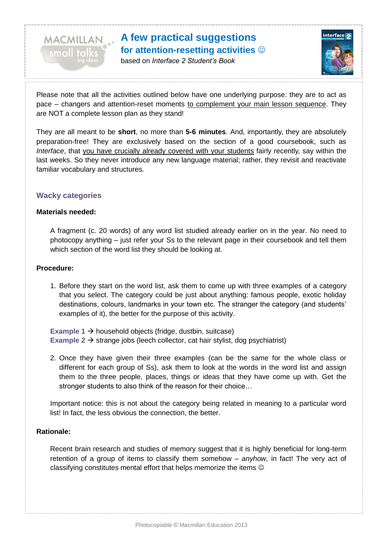

based on *Interface 2 Student's Book*



Please note that all the activities outlined below have one underlying purpose: they are to act as pace – changers and attention-reset moments to complement your main lesson sequence. They are NOT a complete lesson plan as they stand!

They are all meant to be **short**, no more than **5-6 minutes**. And, importantly, they are absolutely preparation-free! They are exclusively based on the section of a good coursebook, such as *Interface*, that you have crucially already covered with your students fairly recently, say within the last weeks. So they never introduce any new language material; rather, they revisit and reactivate familiar vocabulary and structures.

#### **Wacky categories**

MACMILLAN

#### **Materials needed:**

A fragment (c. 20 words) of any word list studied already earlier on in the year. No need to photocopy anything – just refer your Ss to the relevant page in their coursebook and tell them which section of the word list they should be looking at.

#### **Procedure:**

1. Before they start on the word list, ask them to come up with three examples of a category that you select. The category could be just about anything: famous people, exotic holiday destinations, colours, landmarks in your town etc. The stranger the category (and students' examples of it), the better for the purpose of this activity.

**Example 1**  $\rightarrow$  household objects (fridge, dustbin, suitcase) **Example 2**  $\rightarrow$  strange jobs (leech collector, cat hair stylist, dog psychiatrist)

2. Once they have given their three examples (can be the same for the whole class or different for each group of Ss), ask them to look at the words in the word list and assign them to the three people, places, things or ideas that they have come up with. Get the stronger students to also think of the reason for their choice…

Important notice: this is not about the category being related in meaning to a particular word list! In fact, the less obvious the connection, the better.

#### **Rationale:**

Recent brain research and studies of memory suggest that it is highly beneficial for long-term retention of a group of items to classify them somehow – *anyhow*, in fact! The very act of classifying constitutes mental effort that helps memorize the items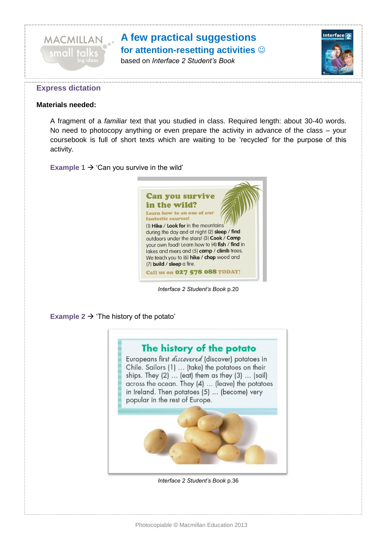

based on *Interface 2 Student's Book*



#### **Express dictation**

#### **Materials needed:**

A fragment of a *familiar* text that you studied in class. Required length: about 30-40 words. No need to photocopy anything or even prepare the activity in advance of the class – your coursebook is full of short texts which are waiting to be 'recycled' for the purpose of this activity.

**Example 1**  $\rightarrow$  'Can you survive in the wild'



*Interface 2 Student's Book* p.20

#### **Example 2**  $\rightarrow$  **'The history of the potato'**

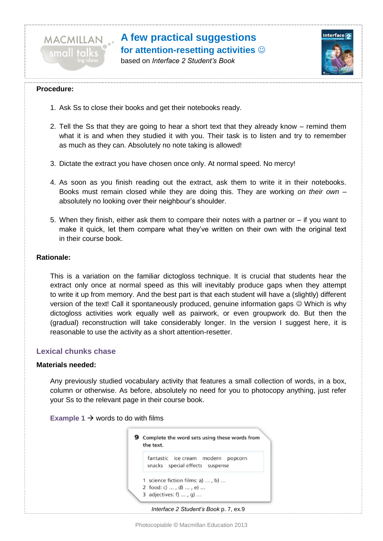

based on *Interface 2 Student's Book*



#### **Procedure:**

- 1. Ask Ss to close their books and get their notebooks ready.
- 2. Tell the Ss that they are going to hear a short text that they already know remind them what it is and when they studied it with you. Their task is to listen and try to remember as much as they can. Absolutely no note taking is allowed!
- 3. Dictate the extract you have chosen once only. At normal speed. No mercy!
- 4. As soon as you finish reading out the extract, ask them to write it in their notebooks. Books must remain closed while they are doing this. They are working *on their own* – absolutely no looking over their neighbour's shoulder.
- 5. When they finish, either ask them to compare their notes with a partner or if you want to make it quick, let them compare what they've written on their own with the original text in their course book.

#### **Rationale:**

This is a variation on the familiar dictogloss technique. It is crucial that students hear the extract only once at normal speed as this will inevitably produce gaps when they attempt to write it up from memory. And the best part is that each student will have a (slightly) different version of the text! Call it spontaneously produced, genuine information gaps Which is why dictogloss activities work equally well as pairwork, or even groupwork do. But then the (gradual) reconstruction will take considerably longer. In the version I suggest here, it is reasonable to use the activity as a short attention-resetter.

### **Lexical chunks chase**

#### **Materials needed:**

Any previously studied vocabulary activity that features a small collection of words, in a box, column or otherwise. As before, absolutely no need for you to photocopy anything, just refer your Ss to the relevant page in their course book.



| fantastic ice cream modern popcorn |
|------------------------------------|
| snacks special effects suspense    |
| 1 science fiction films: a) , b)   |
| 2 food: c) , d) , e)               |
| 3 adjectives: f) , $q$ )           |

*Interface 2 Student's Book* p. 7, ex.9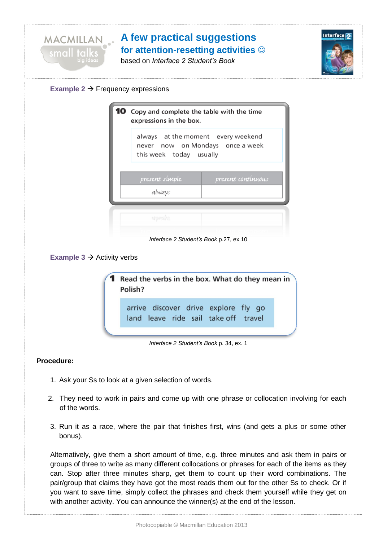

based on *Interface 2 Student's Book*





## **Example 3**  $\rightarrow$  **Activity verbs**



#### *Interface 2 Student's Book* p. 34, ex. 1

### **Procedure:**

- 1. Ask your Ss to look at a given selection of words.
- 2. They need to work in pairs and come up with one phrase or collocation involving for each of the words.
- 3. Run it as a race, where the pair that finishes first, wins (and gets a plus or some other bonus).

Alternatively, give them a short amount of time, e.g. three minutes and ask them in pairs or groups of three to write as many different collocations or phrases for each of the items as they can. Stop after three minutes sharp, get them to count up their word combinations. The pair/group that claims they have got the most reads them out for the other Ss to check. Or if you want to save time, simply collect the phrases and check them yourself while they get on with another activity. You can announce the winner(s) at the end of the lesson.